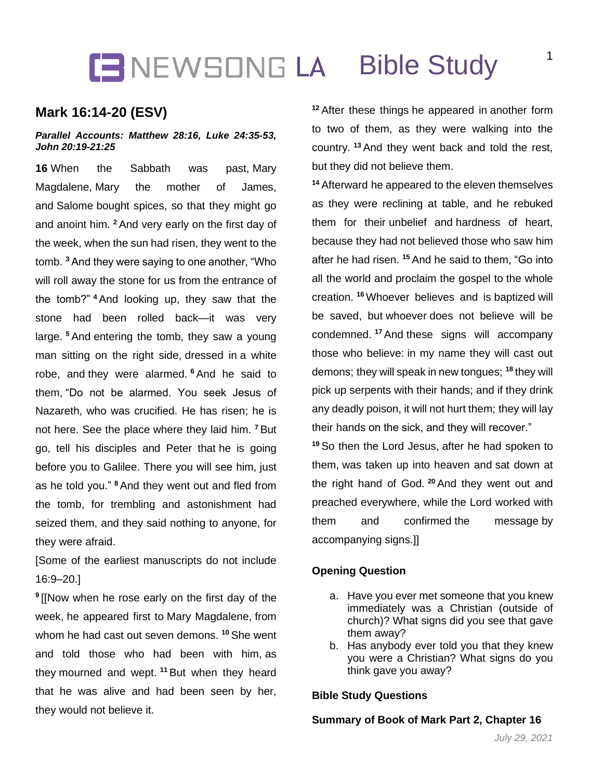## **CENEWSONG LA Bible Study**

### **Mark 16:14-20 (ESV)**

#### *Parallel Accounts: Matthew 28:16, Luke 24:35-53, John 20:19-21:25*

**16** When the Sabbath was past, Mary Magdalene, Mary the mother of James, and Salome bought spices, so that they might go and anoint him. **<sup>2</sup>** And very early on the first day of the week, when the sun had risen, they went to the tomb. **<sup>3</sup>** And they were saying to one another, "Who will roll away the stone for us from the entrance of the tomb?" **<sup>4</sup>** And looking up, they saw that the stone had been rolled back—it was very large. **<sup>5</sup>** And entering the tomb, they saw a young man sitting on the right side, dressed in a white robe, and they were alarmed. **<sup>6</sup>** And he said to them, "Do not be alarmed. You seek Jesus of Nazareth, who was crucified. He has risen; he is not here. See the place where they laid him. **<sup>7</sup>** But go, tell his disciples and Peter that he is going before you to Galilee. There you will see him, just as he told you." **<sup>8</sup>** And they went out and fled from the tomb, for trembling and astonishment had seized them, and they said nothing to anyone, for they were afraid.

[Some of the earliest manuscripts do not include 16:9–20.]

**9** [[Now when he rose early on the first day of the week, he appeared first to Mary Magdalene, from whom he had cast out seven demons. **<sup>10</sup>** She went and told those who had been with him, as they mourned and wept. **<sup>11</sup>** But when they heard that he was alive and had been seen by her, they would not believe it.

**<sup>12</sup>** After these things he appeared in another form to two of them, as they were walking into the country. **<sup>13</sup>** And they went back and told the rest, but they did not believe them.

**<sup>14</sup>** Afterward he appeared to the eleven themselves as they were reclining at table, and he rebuked them for their unbelief and hardness of heart, because they had not believed those who saw him after he had risen. **<sup>15</sup>** And he said to them, "Go into all the world and proclaim the gospel to the whole creation. **<sup>16</sup>** Whoever believes and is baptized will be saved, but whoever does not believe will be condemned. **<sup>17</sup>** And these signs will accompany those who believe: in my name they will cast out demons; they will speak in new tongues; **<sup>18</sup>** they will pick up serpents with their hands; and if they drink any deadly poison, it will not hurt them; they will lay their hands on the sick, and they will recover."

**<sup>19</sup>** So then the Lord Jesus, after he had spoken to them, was taken up into heaven and sat down at the right hand of God. **<sup>20</sup>** And they went out and preached everywhere, while the Lord worked with them and confirmed the message by accompanying signs.]]

#### **Opening Question**

- a. Have you ever met someone that you knew immediately was a Christian (outside of church)? What signs did you see that gave them away?
- b. Has anybody ever told you that they knew you were a Christian? What signs do you think gave you away?

#### **Bible Study Questions**

#### **Summary of Book of Mark Part 2, Chapter 16**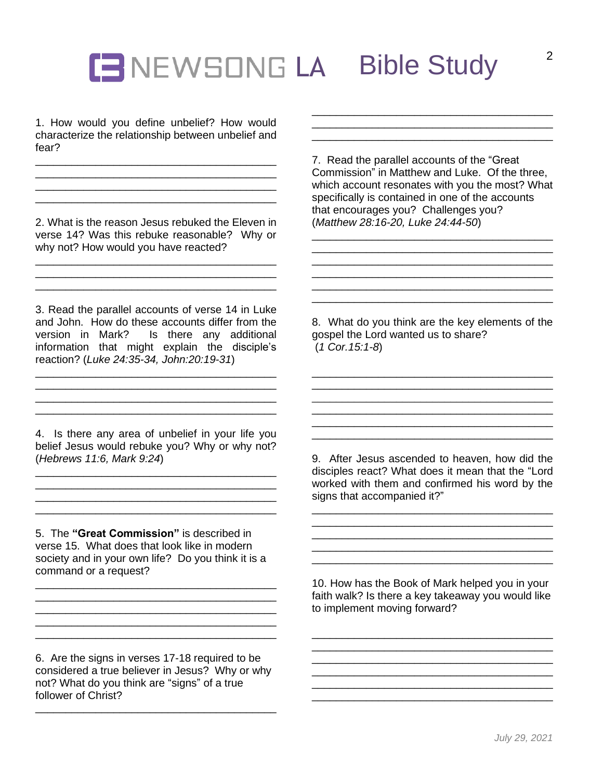# **ENEWSONG LA Bible Study**

1. How would you define unbelief? How would characterize the relationship between unbelief and fear?

\_\_\_\_\_\_\_\_\_\_\_\_\_\_\_\_\_\_\_\_\_\_\_\_\_\_\_\_\_\_\_\_\_\_\_\_\_\_\_\_ \_\_\_\_\_\_\_\_\_\_\_\_\_\_\_\_\_\_\_\_\_\_\_\_\_\_\_\_\_\_\_\_\_\_\_\_\_\_\_\_ \_\_\_\_\_\_\_\_\_\_\_\_\_\_\_\_\_\_\_\_\_\_\_\_\_\_\_\_\_\_\_\_\_\_\_\_\_\_\_\_ \_\_\_\_\_\_\_\_\_\_\_\_\_\_\_\_\_\_\_\_\_\_\_\_\_\_\_\_\_\_\_\_\_\_\_\_\_\_\_\_

2. What is the reason Jesus rebuked the Eleven in verse 14? Was this rebuke reasonable? Why or why not? How would you have reacted?

\_\_\_\_\_\_\_\_\_\_\_\_\_\_\_\_\_\_\_\_\_\_\_\_\_\_\_\_\_\_\_\_\_\_\_\_\_\_\_\_ \_\_\_\_\_\_\_\_\_\_\_\_\_\_\_\_\_\_\_\_\_\_\_\_\_\_\_\_\_\_\_\_\_\_\_\_\_\_\_\_

3. Read the parallel accounts of verse 14 in Luke and John. How do these accounts differ from the version in Mark? Is there any additional information that might explain the disciple's reaction? (*Luke 24:35-34, John:20:19-31*)

\_\_\_\_\_\_\_\_\_\_\_\_\_\_\_\_\_\_\_\_\_\_\_\_\_\_\_\_\_\_\_\_\_\_\_\_\_\_\_\_ \_\_\_\_\_\_\_\_\_\_\_\_\_\_\_\_\_\_\_\_\_\_\_\_\_\_\_\_\_\_\_\_\_\_\_\_\_\_\_\_

4. Is there any area of unbelief in your life you belief Jesus would rebuke you? Why or why not? (*Hebrews 11:6, Mark 9:24*)

\_\_\_\_\_\_\_\_\_\_\_\_\_\_\_\_\_\_\_\_\_\_\_\_\_\_\_\_\_\_\_\_\_\_\_\_\_\_\_\_ \_\_\_\_\_\_\_\_\_\_\_\_\_\_\_\_\_\_\_\_\_\_\_\_\_\_\_\_\_\_\_\_\_\_\_\_\_\_\_\_ \_\_\_\_\_\_\_\_\_\_\_\_\_\_\_\_\_\_\_\_\_\_\_\_\_\_\_\_\_\_\_\_\_\_\_\_\_\_\_\_ \_\_\_\_\_\_\_\_\_\_\_\_\_\_\_\_\_\_\_\_\_\_\_\_\_\_\_\_\_\_\_\_\_\_\_\_\_\_\_\_

5. The **"Great Commission"** is described in verse 15. What does that look like in modern society and in your own life? Do you think it is a command or a request?

\_\_\_\_\_\_\_\_\_\_\_\_\_\_\_\_\_\_\_\_\_\_\_\_\_\_\_\_\_\_\_\_\_\_\_\_\_\_\_\_

\_\_\_\_\_\_\_\_\_\_\_\_\_\_\_\_\_\_\_\_\_\_\_\_\_\_\_\_\_\_\_\_\_\_\_\_\_\_\_\_ \_\_\_\_\_\_\_\_\_\_\_\_\_\_\_\_\_\_\_\_\_\_\_\_\_\_\_\_\_\_\_\_\_\_\_\_\_\_\_\_

6. Are the signs in verses 17-18 required to be considered a true believer in Jesus? Why or why not? What do you think are "signs" of a true follower of Christ?

\_\_\_\_\_\_\_\_\_\_\_\_\_\_\_\_\_\_\_\_\_\_\_\_\_\_\_\_\_\_\_\_\_\_\_\_\_\_\_\_

7. Read the parallel accounts of the "Great Commission" in Matthew and Luke. Of the three, which account resonates with you the most? What specifically is contained in one of the accounts that encourages you? Challenges you? (*Matthew 28:16-20, Luke 24:44-50*)

\_\_\_\_\_\_\_\_\_\_\_\_\_\_\_\_\_\_\_\_\_\_\_\_\_\_\_\_\_\_\_\_\_\_\_\_\_\_\_\_ \_\_\_\_\_\_\_\_\_\_\_\_\_\_\_\_\_\_\_\_\_\_\_\_\_\_\_\_\_\_\_\_\_\_\_\_\_\_\_\_ \_\_\_\_\_\_\_\_\_\_\_\_\_\_\_\_\_\_\_\_\_\_\_\_\_\_\_\_\_\_\_\_\_\_\_\_\_\_\_\_ \_\_\_\_\_\_\_\_\_\_\_\_\_\_\_\_\_\_\_\_\_\_\_\_\_\_\_\_\_\_\_\_\_\_\_\_\_\_\_\_

\_\_\_\_\_\_\_\_\_\_\_\_\_\_\_\_\_\_\_\_\_\_\_\_\_\_\_\_\_\_\_\_\_\_\_\_\_\_\_\_

\_\_\_\_\_\_\_\_\_\_\_\_\_\_\_\_\_\_\_\_\_\_\_\_\_\_\_\_\_\_\_\_\_\_\_\_\_\_\_\_

8. What do you think are the key elements of the gospel the Lord wanted us to share? (*1 Cor.15:1-8*)

\_\_\_\_\_\_\_\_\_\_\_\_\_\_\_\_\_\_\_\_\_\_\_\_\_\_\_\_\_\_\_\_\_\_\_\_\_\_\_\_ \_\_\_\_\_\_\_\_\_\_\_\_\_\_\_\_\_\_\_\_\_\_\_\_\_\_\_\_\_\_\_\_\_\_\_\_\_\_\_\_ \_\_\_\_\_\_\_\_\_\_\_\_\_\_\_\_\_\_\_\_\_\_\_\_\_\_\_\_\_\_\_\_\_\_\_\_\_\_\_\_

\_\_\_\_\_\_\_\_\_\_\_\_\_\_\_\_\_\_\_\_\_\_\_\_\_\_\_\_\_\_\_\_\_\_\_\_\_\_\_\_ \_\_\_\_\_\_\_\_\_\_\_\_\_\_\_\_\_\_\_\_\_\_\_\_\_\_\_\_\_\_\_\_\_\_\_\_\_\_\_\_

\_\_\_\_\_\_\_\_\_\_\_\_\_\_\_\_\_\_\_\_\_\_\_\_\_\_\_\_\_\_\_\_\_\_\_\_\_\_\_\_

9. After Jesus ascended to heaven, how did the disciples react? What does it mean that the "Lord worked with them and confirmed his word by the signs that accompanied it?"

\_\_\_\_\_\_\_\_\_\_\_\_\_\_\_\_\_\_\_\_\_\_\_\_\_\_\_\_\_\_\_\_\_\_\_\_\_\_\_\_

 $\overline{\phantom{a}}$  , and the set of the set of the set of the set of the set of the set of the set of the set of the set of the set of the set of the set of the set of the set of the set of the set of the set of the set of the s \_\_\_\_\_\_\_\_\_\_\_\_\_\_\_\_\_\_\_\_\_\_\_\_\_\_\_\_\_\_\_\_\_\_\_\_\_\_\_\_

10. How has the Book of Mark helped you in your faith walk? Is there a key takeaway you would like to implement moving forward?

\_\_\_\_\_\_\_\_\_\_\_\_\_\_\_\_\_\_\_\_\_\_\_\_\_\_\_\_\_\_\_\_\_\_\_\_\_\_\_\_

\_\_\_\_\_\_\_\_\_\_\_\_\_\_\_\_\_\_\_\_\_\_\_\_\_\_\_\_\_\_\_\_\_\_\_\_\_\_\_\_ \_\_\_\_\_\_\_\_\_\_\_\_\_\_\_\_\_\_\_\_\_\_\_\_\_\_\_\_\_\_\_\_\_\_\_\_\_\_\_\_ \_\_\_\_\_\_\_\_\_\_\_\_\_\_\_\_\_\_\_\_\_\_\_\_\_\_\_\_\_\_\_\_\_\_\_\_\_\_\_\_